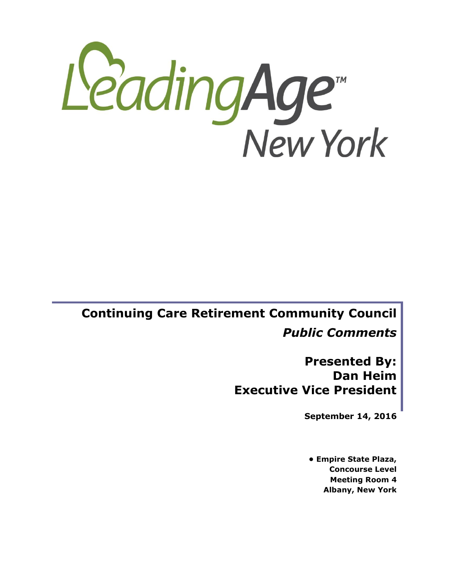

# **Continuing Care Retirement Community Council**  *Public Comments*

**Presented By: Dan Heim Executive Vice President**

**September 14, 2016**

**• Empire State Plaza, Concourse Level Meeting Room 4 Albany, New York**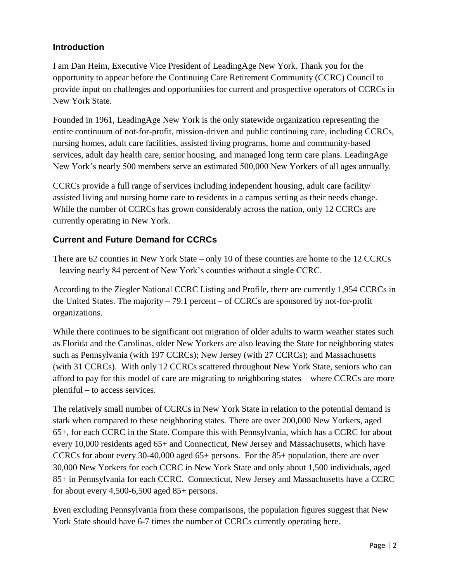#### **Introduction**

I am Dan Heim, Executive Vice President of LeadingAge New York. Thank you for the opportunity to appear before the Continuing Care Retirement Community (CCRC) Council to provide input on challenges and opportunities for current and prospective operators of CCRCs in New York State.

Founded in 1961, LeadingAge New York is the only statewide organization representing the entire continuum of not-for-profit, mission-driven and public continuing care, including CCRCs, nursing homes, adult care facilities, assisted living programs, home and community-based services, adult day health care, senior housing, and managed long term care plans. LeadingAge New York's nearly 500 members serve an estimated 500,000 New Yorkers of all ages annually.

CCRCs provide a full range of services including independent housing, adult care facility/ assisted living and nursing home care to residents in a campus setting as their needs change. While the number of CCRCs has grown considerably across the nation, only 12 CCRCs are currently operating in New York.

### **Current and Future Demand for CCRCs**

There are 62 counties in New York State – only 10 of these counties are home to the 12 CCRCs – leaving nearly 84 percent of New York's counties without a single CCRC.

According to the Ziegler National CCRC Listing and Profile, there are currently 1,954 CCRCs in the United States. The majority – 79.1 percent – of CCRCs are sponsored by not-for-profit organizations.

While there continues to be significant out migration of older adults to warm weather states such as Florida and the Carolinas, older New Yorkers are also leaving the State for neighboring states such as Pennsylvania (with 197 CCRCs); New Jersey (with 27 CCRCs); and Massachusetts (with 31 CCRCs). With only 12 CCRCs scattered throughout New York State, seniors who can afford to pay for this model of care are migrating to neighboring states – where CCRCs are more plentiful – to access services.

The relatively small number of CCRCs in New York State in relation to the potential demand is stark when compared to these neighboring states. There are over 200,000 New Yorkers, aged 65+, for each CCRC in the State. Compare this with Pennsylvania, which has a CCRC for about every 10,000 residents aged 65+ and Connecticut, New Jersey and Massachusetts, which have CCRCs for about every 30-40,000 aged 65+ persons. For the 85+ population, there are over 30,000 New Yorkers for each CCRC in New York State and only about 1,500 individuals, aged 85+ in Pennsylvania for each CCRC. Connecticut, New Jersey and Massachusetts have a CCRC for about every 4,500-6,500 aged 85+ persons.

Even excluding Pennsylvania from these comparisons, the population figures suggest that New York State should have 6-7 times the number of CCRCs currently operating here.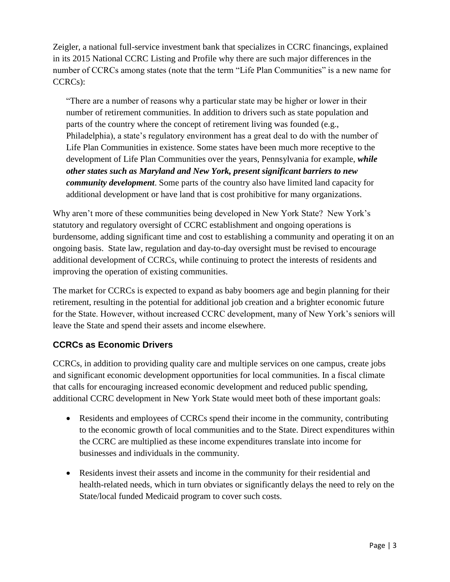Zeigler, a national full-service investment bank that specializes in CCRC financings, explained in its 2015 National CCRC Listing and Profile why there are such major differences in the number of CCRCs among states (note that the term "Life Plan Communities" is a new name for CCRCs):

"There are a number of reasons why a particular state may be higher or lower in their number of retirement communities. In addition to drivers such as state population and parts of the country where the concept of retirement living was founded (e.g., Philadelphia), a state's regulatory environment has a great deal to do with the number of Life Plan Communities in existence. Some states have been much more receptive to the development of Life Plan Communities over the years, Pennsylvania for example, *while other states such as Maryland and New York, present significant barriers to new community development*. Some parts of the country also have limited land capacity for additional development or have land that is cost prohibitive for many organizations.

Why aren't more of these communities being developed in New York State? New York's statutory and regulatory oversight of CCRC establishment and ongoing operations is burdensome, adding significant time and cost to establishing a community and operating it on an ongoing basis. State law, regulation and day-to-day oversight must be revised to encourage additional development of CCRCs, while continuing to protect the interests of residents and improving the operation of existing communities.

The market for CCRCs is expected to expand as baby boomers age and begin planning for their retirement, resulting in the potential for additional job creation and a brighter economic future for the State. However, without increased CCRC development, many of New York's seniors will leave the State and spend their assets and income elsewhere.

### **CCRCs as Economic Drivers**

CCRCs, in addition to providing quality care and multiple services on one campus, create jobs and significant economic development opportunities for local communities. In a fiscal climate that calls for encouraging increased economic development and reduced public spending, additional CCRC development in New York State would meet both of these important goals:

- Residents and employees of CCRCs spend their income in the community, contributing to the economic growth of local communities and to the State. Direct expenditures within the CCRC are multiplied as these income expenditures translate into income for businesses and individuals in the community.
- Residents invest their assets and income in the community for their residential and health-related needs, which in turn obviates or significantly delays the need to rely on the State/local funded Medicaid program to cover such costs.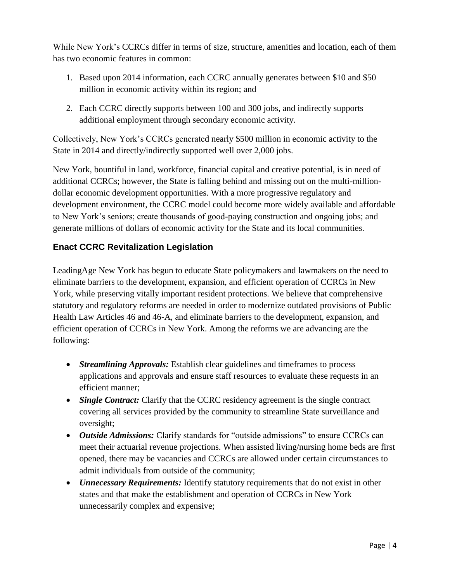While New York's CCRCs differ in terms of size, structure, amenities and location, each of them has two economic features in common:

- 1. Based upon 2014 information, each CCRC annually generates between \$10 and \$50 million in economic activity within its region; and
- 2. Each CCRC directly supports between 100 and 300 jobs, and indirectly supports additional employment through secondary economic activity.

Collectively, New York's CCRCs generated nearly \$500 million in economic activity to the State in 2014 and directly/indirectly supported well over 2,000 jobs.

New York, bountiful in land, workforce, financial capital and creative potential, is in need of additional CCRCs; however, the State is falling behind and missing out on the multi-milliondollar economic development opportunities. With a more progressive regulatory and development environment, the CCRC model could become more widely available and affordable to New York's seniors; create thousands of good-paying construction and ongoing jobs; and generate millions of dollars of economic activity for the State and its local communities.

## **Enact CCRC Revitalization Legislation**

LeadingAge New York has begun to educate State policymakers and lawmakers on the need to eliminate barriers to the development, expansion, and efficient operation of CCRCs in New York, while preserving vitally important resident protections. We believe that comprehensive statutory and regulatory reforms are needed in order to modernize outdated provisions of Public Health Law Articles 46 and 46-A, and eliminate barriers to the development, expansion, and efficient operation of CCRCs in New York. Among the reforms we are advancing are the following:

- *Streamlining Approvals:* Establish clear guidelines and timeframes to process applications and approvals and ensure staff resources to evaluate these requests in an efficient manner;
- *Single Contract:* Clarify that the CCRC residency agreement is the single contract covering all services provided by the community to streamline State surveillance and oversight;
- *Outside Admissions:* Clarify standards for "outside admissions" to ensure CCRCs can meet their actuarial revenue projections. When assisted living/nursing home beds are first opened, there may be vacancies and CCRCs are allowed under certain circumstances to admit individuals from outside of the community;
- *Unnecessary Requirements:* Identify statutory requirements that do not exist in other states and that make the establishment and operation of CCRCs in New York unnecessarily complex and expensive;